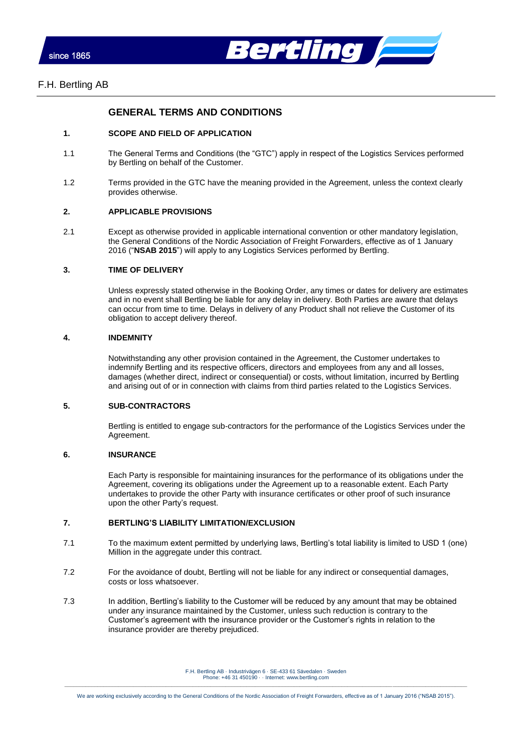



# **GENERAL TERMS AND CONDITIONS**

### **1. SCOPE AND FIELD OF APPLICATION**

- 1.1 The General Terms and Conditions (the "GTC") apply in respect of the Logistics Services performed by Bertling on behalf of the Customer.
- 1.2 Terms provided in the GTC have the meaning provided in the Agreement, unless the context clearly provides otherwise.

## **2. APPLICABLE PROVISIONS**

2.1 Except as otherwise provided in applicable international convention or other mandatory legislation, the General Conditions of the Nordic Association of Freight Forwarders, effective as of 1 January 2016 ("**NSAB 2015**") will apply to any Logistics Services performed by Bertling.

### **3. TIME OF DELIVERY**

Unless expressly stated otherwise in the Booking Order, any times or dates for delivery are estimates and in no event shall Bertling be liable for any delay in delivery. Both Parties are aware that delays can occur from time to time. Delays in delivery of any Product shall not relieve the Customer of its obligation to accept delivery thereof.

## **4. INDEMNITY**

Notwithstanding any other provision contained in the Agreement, the Customer undertakes to indemnify Bertling and its respective officers, directors and employees from any and all losses, damages (whether direct, indirect or consequential) or costs, without limitation, incurred by Bertling and arising out of or in connection with claims from third parties related to the Logistics Services.

## **5. SUB-CONTRACTORS**

Bertling is entitled to engage sub-contractors for the performance of the Logistics Services under the Agreement.

## **6. INSURANCE**

Each Party is responsible for maintaining insurances for the performance of its obligations under the Agreement, covering its obligations under the Agreement up to a reasonable extent. Each Party undertakes to provide the other Party with insurance certificates or other proof of such insurance upon the other Party's request.

## **7. BERTLING'S LIABILITY LIMITATION/EXCLUSION**

- 7.1 To the maximum extent permitted by underlying laws, Bertling's total liability is limited to USD 1 (one) Million in the aggregate under this contract.
- 7.2 For the avoidance of doubt, Bertling will not be liable for any indirect or consequential damages, costs or loss whatsoever.
- 7.3 In addition, Bertling's liability to the Customer will be reduced by any amount that may be obtained under any insurance maintained by the Customer, unless such reduction is contrary to the Customer's agreement with the insurance provider or the Customer's rights in relation to the insurance provider are thereby prejudiced.

F.H. Bertling AB · Industrivägen 6 · SE-433 61 Sävedalen · Sweden Phone: +46 31 450190 · · Internet[: www.bertling.com](http://www.bertling.com/)  $\_$  , and the state of the state of the state of the state of the state of the state of the state of the state of the state of the state of the state of the state of the state of the state of the state of the state of the

We are working exclusively according to the General Conditions of the Nordic Association of Freight Forwarders, effective as of 1 January 2016 ("NSAB 2015").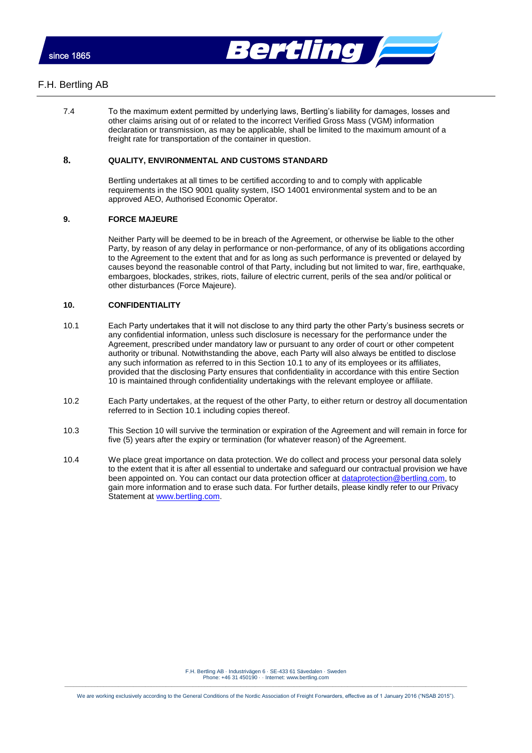



## F.H. Bertling AB

7.4 To the maximum extent permitted by underlying laws, Bertling's liability for damages, losses and other claims arising out of or related to the incorrect Verified Gross Mass (VGM) information declaration or transmission, as may be applicable, shall be limited to the maximum amount of a freight rate for transportation of the container in question.

## **8. QUALITY, ENVIRONMENTAL AND CUSTOMS STANDARD**

Bertling undertakes at all times to be certified according to and to comply with applicable requirements in the ISO 9001 quality system, ISO 14001 environmental system and to be an approved AEO, Authorised Economic Operator.

## **9. FORCE MAJEURE**

Neither Party will be deemed to be in breach of the Agreement, or otherwise be liable to the other Party, by reason of any delay in performance or non-performance, of any of its obligations according to the Agreement to the extent that and for as long as such performance is prevented or delayed by causes beyond the reasonable control of that Party, including but not limited to war, fire, earthquake, embargoes, blockades, strikes, riots, failure of electric current, perils of the sea and/or political or other disturbances (Force Majeure).

## <span id="page-1-1"></span>**10. CONFIDENTIALITY**

- <span id="page-1-0"></span>10.1 Each Party undertakes that it will not disclose to any third party the other Party's business secrets or any confidential information, unless such disclosure is necessary for the performance under the Agreement, prescribed under mandatory law or pursuant to any order of court or other competent authority or tribunal. Notwithstanding the above, each Party will also always be entitled to disclose any such information as referred to in this Section [10.1](#page-1-0) to any of its employees or its affiliates, provided that the disclosing Party ensures that confidentiality in accordance with this entire Section [10](#page-1-1) is maintained through confidentiality undertakings with the relevant employee or affiliate.
- 10.2 Each Party undertakes, at the request of the other Party, to either return or destroy all documentation referred to in Section [10.1](#page-1-0) including copies thereof.
- 10.3 This Section [10](#page-1-1) will survive the termination or expiration of the Agreement and will remain in force for five (5) years after the expiry or termination (for whatever reason) of the Agreement.
- 10.4 We place great importance on data protection. We do collect and process your personal data solely to the extent that it is after all essential to undertake and safeguard our contractual provision we have been appointed on. You can contact our data protection officer a[t dataprotection@bertling.com,](mailto:dataprotection@bertling.com) to gain more information and to erase such data. For further details, please kindly refer to our Privacy Statement at [www.bertling.com.](http://www.bertling.com/)